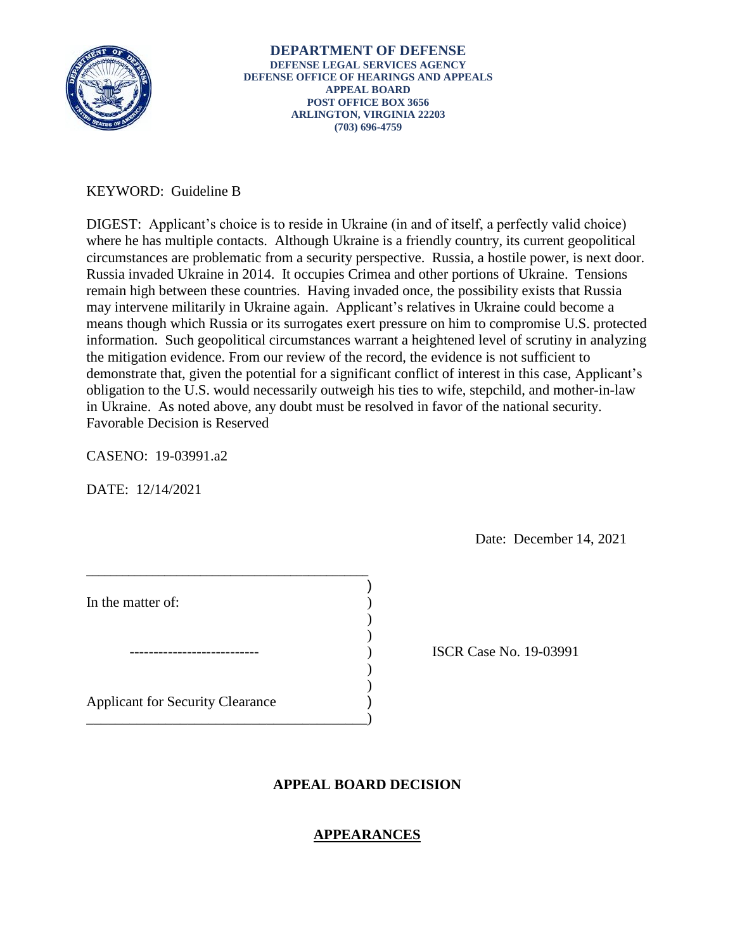

# KEYWORD: Guideline B

 in Ukraine. As noted above, any doubt must be resolved in favor of the national security. Favorable Decision is Reserved DIGEST: Applicant's choice is to reside in Ukraine (in and of itself, a perfectly valid choice) where he has multiple contacts. Although Ukraine is a friendly country, its current geopolitical circumstances are problematic from a security perspective. Russia, a hostile power, is next door. Russia invaded Ukraine in 2014. It occupies Crimea and other portions of Ukraine. Tensions remain high between these countries. Having invaded once, the possibility exists that Russia may intervene militarily in Ukraine again. Applicant's relatives in Ukraine could become a means though which Russia or its surrogates exert pressure on him to compromise U.S. protected information. Such geopolitical circumstances warrant a heightened level of scrutiny in analyzing the mitigation evidence. From our review of the record, the evidence is not sufficient to demonstrate that, given the potential for a significant conflict of interest in this case, Applicant's obligation to the U.S. would necessarily outweigh his ties to wife, stepchild, and mother-in-law

CASENO: 19-03991.a2

DATE: 12/14/2021

Date: December 14, 2021

| In the matter of:                       |  |
|-----------------------------------------|--|
|                                         |  |
| <b>Applicant for Security Clearance</b> |  |

\_\_\_\_\_\_\_\_\_\_\_\_\_\_\_\_\_\_\_\_\_\_\_\_\_\_\_\_\_\_\_\_\_\_\_\_\_\_\_\_\_\_\_\_\_\_\_

ISCR Case No. 19-03991

## **APPEAL BOARD DECISION**

)

## **APPEARANCES**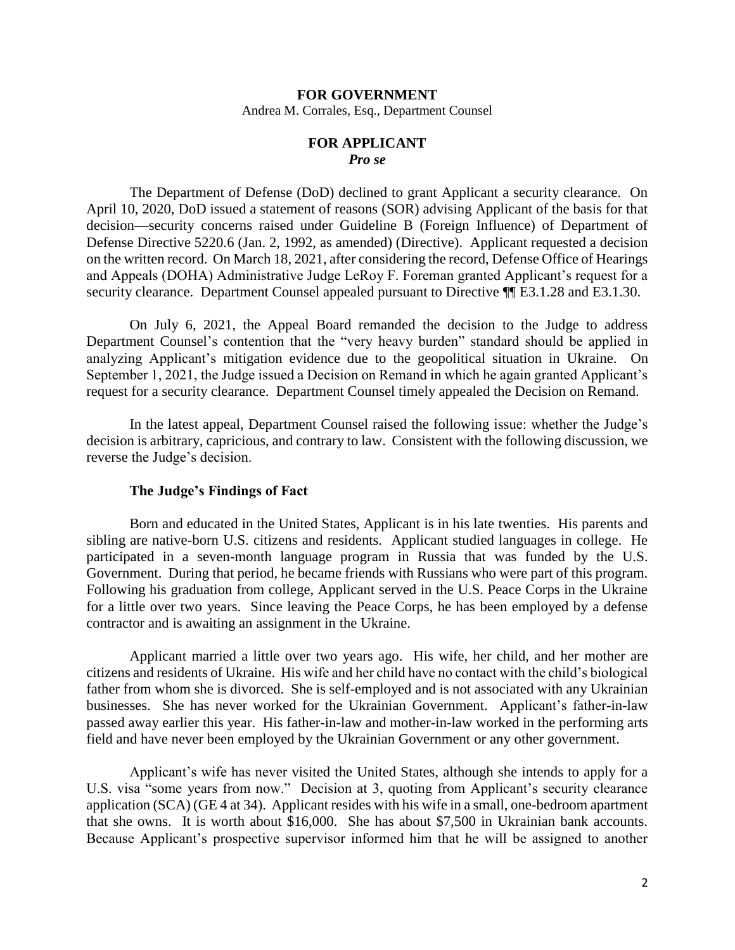#### **FOR GOVERNMENT**

Andrea M. Corrales, Esq., Department Counsel

### **FOR APPLICANT**  *Pro se*

 The Department of Defense (DoD) declined to grant Applicant a security clearance. On April 10, 2020, DoD issued a statement of reasons (SOR) advising Applicant of the basis for that decision—security concerns raised under Guideline B (Foreign Influence) of Department of Defense Directive 5220.6 (Jan. 2, 1992, as amended) (Directive). Applicant requested a decision on the written record. On March 18, 2021, after considering the record, Defense Office of Hearings and Appeals (DOHA) Administrative Judge LeRoy F. Foreman granted Applicant's request for a security clearance. Department Counsel appealed pursuant to Directive  $\P$ [E3.1.28 and E3.1.30.

 Department Counsel's contention that the "very heavy burden" standard should be applied in analyzing Applicant's mitigation evidence due to the geopolitical situation in Ukraine. On September 1, 2021, the Judge issued a Decision on Remand in which he again granted Applicant's request for a security clearance. Department Counsel timely appealed the Decision on Remand. On July 6, 2021, the Appeal Board remanded the decision to the Judge to address

 decision is arbitrary, capricious, and contrary to law. Consistent with the following discussion, we In the latest appeal, Department Counsel raised the following issue: whether the Judge's reverse the Judge's decision.

#### **The Judge's Findings of Fact**

 Born and educated in the United States, Applicant is in his late twenties. His parents and sibling are native-born U.S. citizens and residents. Applicant studied languages in college. He participated in a seven-month language program in Russia that was funded by the U.S. Government. During that period, he became friends with Russians who were part of this program. Following his graduation from college, Applicant served in the U.S. Peace Corps in the Ukraine for a little over two years. Since leaving the Peace Corps, he has been employed by a defense contractor and is awaiting an assignment in the Ukraine.

 father from whom she is divorced. She is self-employed and is not associated with any Ukrainian businesses. She has never worked for the Ukrainian Government. Applicant's father-in-law Applicant married a little over two years ago. His wife, her child, and her mother are citizens and residents of Ukraine. His wife and her child have no contact with the child's biological passed away earlier this year. His father-in-law and mother-in-law worked in the performing arts field and have never been employed by the Ukrainian Government or any other government.

 Applicant's wife has never visited the United States, although she intends to apply for a U.S. visa "some years from now." Decision at 3, quoting from Applicant's security clearance application (SCA) (GE 4 at 34). Applicant resides with his wife in a small, one-bedroom apartment that she owns. It is worth about \$16,000. She has about \$7,500 in Ukrainian bank accounts. Because Applicant's prospective supervisor informed him that he will be assigned to another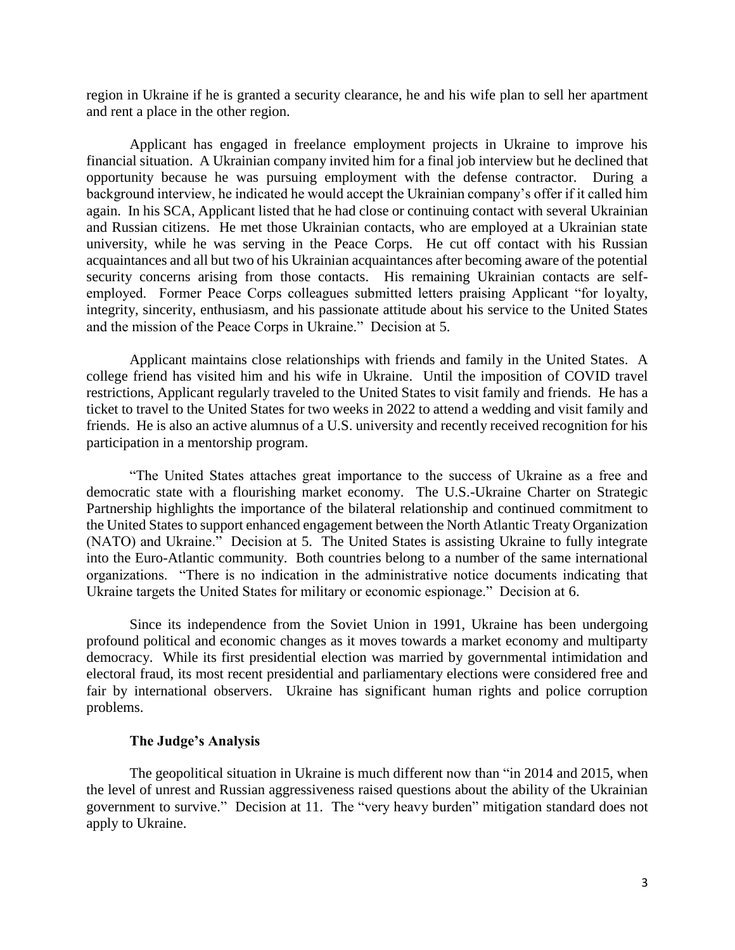region in Ukraine if he is granted a security clearance, he and his wife plan to sell her apartment and rent a place in the other region.

 Applicant has engaged in freelance employment projects in Ukraine to improve his financial situation. A Ukrainian company invited him for a final job interview but he declined that opportunity because he was pursuing employment with the defense contractor. During a background interview, he indicated he would accept the Ukrainian company's offer if it called him again. In his SCA, Applicant listed that he had close or continuing contact with several Ukrainian and Russian citizens. He met those Ukrainian contacts, who are employed at a Ukrainian state university, while he was serving in the Peace Corps. He cut off contact with his Russian acquaintances and all but two of his Ukrainian acquaintances after becoming aware of the potential integrity, sincerity, enthusiasm, and his passionate attitude about his service to the United States and the mission of the Peace Corps in Ukraine." Decision at 5. security concerns arising from those contacts. His remaining Ukrainian contacts are selfemployed. Former Peace Corps colleagues submitted letters praising Applicant "for loyalty,

 college friend has visited him and his wife in Ukraine. Until the imposition of COVID travel ticket to travel to the United States for two weeks in 2022 to attend a wedding and visit family and friends. He is also an active alumnus of a U.S. university and recently received recognition for his Applicant maintains close relationships with friends and family in the United States. A restrictions, Applicant regularly traveled to the United States to visit family and friends. He has a participation in a mentorship program.

 "The United States attaches great importance to the success of Ukraine as a free and democratic state with a flourishing market economy. The U.S.-Ukraine Charter on Strategic Partnership highlights the importance of the bilateral relationship and continued commitment to (NATO) and Ukraine." Decision at 5. The United States is assisting Ukraine to fully integrate into the Euro-Atlantic community. Both countries belong to a number of the same international organizations. "There is no indication in the administrative notice documents indicating that the United States to support enhanced engagement between the North Atlantic Treaty Organization Ukraine targets the United States for military or economic espionage." Decision at 6.

 democracy. While its first presidential election was married by governmental intimidation and electoral fraud, its most recent presidential and parliamentary elections were considered free and fair by international observers. Ukraine has significant human rights and police corruption Since its independence from the Soviet Union in 1991, Ukraine has been undergoing profound political and economic changes as it moves towards a market economy and multiparty problems.

#### **The Judge's Analysis**

 government to survive." Decision at 11. The "very heavy burden" mitigation standard does not The geopolitical situation in Ukraine is much different now than "in 2014 and 2015, when the level of unrest and Russian aggressiveness raised questions about the ability of the Ukrainian apply to Ukraine.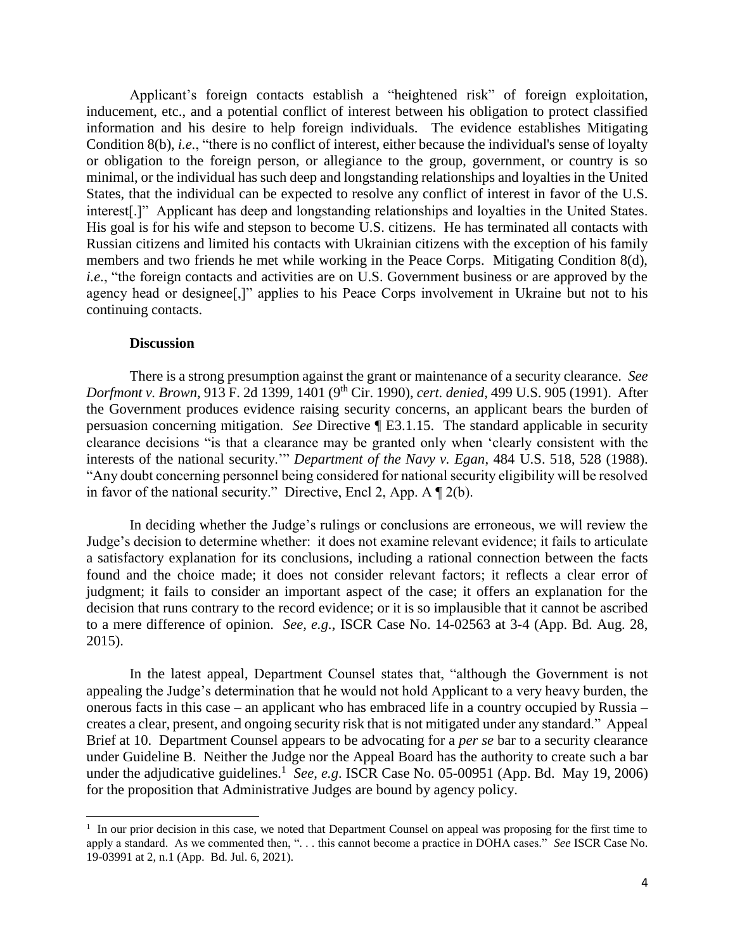inducement, etc., and a potential conflict of interest between his obligation to protect classified information and his desire to help foreign individuals. The evidence establishes Mitigating Condition 8(b), *i.e.*, "there is no conflict of interest, either because the individual's sense of loyalty or obligation to the foreign person, or allegiance to the group, government, or country is so interest[.]" Applicant has deep and longstanding relationships and loyalties in the United States. His goal is for his wife and stepson to become U.S. citizens. He has terminated all contacts with Russian citizens and limited his contacts with Ukrainian citizens with the exception of his family members and two friends he met while working in the Peace Corps. Mitigating Condition 8(d), *i.e.*, "the foreign contacts and activities are on U.S. Government business or are approved by the agency head or designee[,]" applies to his Peace Corps involvement in Ukraine but not to his Applicant's foreign contacts establish a "heightened risk" of foreign exploitation, minimal, or the individual has such deep and longstanding relationships and loyalties in the United States, that the individual can be expected to resolve any conflict of interest in favor of the U.S. continuing contacts.

#### **Discussion**

 $\overline{a}$ 

 There is a strong presumption against the grant or maintenance of a security clearance. *See Dorfmont v. Brown*, 913 F. 2d 1399, 1401 (9th Cir. 1990), *cert. denied,* 499 U.S. 905 (1991). After the Government produces evidence raising security concerns, an applicant bears the burden of persuasion concerning mitigation. *See* Directive ¶ E3.1.15. The standard applicable in security clearance decisions "is that a clearance may be granted only when 'clearly consistent with the interests of the national security.'" *Department of the Navy v. Egan*, 484 U.S. 518, 528 (1988). "Any doubt concerning personnel being considered for national security eligibility will be resolved in favor of the national security." Directive, Encl 2, App. A  $\P$  2(b).

 In deciding whether the Judge's rulings or conclusions are erroneous, we will review the Judge's decision to determine whether: it does not examine relevant evidence; it fails to articulate a satisfactory explanation for its conclusions, including a rational connection between the facts found and the choice made; it does not consider relevant factors; it reflects a clear error of decision that runs contrary to the record evidence; or it is so implausible that it cannot be ascribed to a mere difference of opinion. *See, e.g.*, ISCR Case No. 14-02563 at 3-4 (App. Bd. Aug. 28, judgment; it fails to consider an important aspect of the case; it offers an explanation for the 2015).

 creates a clear, present, and ongoing security risk that is not mitigated under any standard." Appeal Brief at 10. Department Counsel appears to be advocating for a *per se* bar to a security clearance under the adjudicative guidelines.<sup>1</sup> See, e.g. ISCR Case No. 05-00951 (App. Bd. May 19, 2006) In the latest appeal, Department Counsel states that, "although the Government is not appealing the Judge's determination that he would not hold Applicant to a very heavy burden, the onerous facts in this case – an applicant who has embraced life in a country occupied by Russia – under Guideline B. Neither the Judge nor the Appeal Board has the authority to create such a bar for the proposition that Administrative Judges are bound by agency policy.

 $1$  In our prior decision in this case, we noted that Department Counsel on appeal was proposing for the first time to apply a standard. As we commented then, ". . . this cannot become a practice in DOHA cases." *See* ISCR Case No. 19-03991 at 2, n.1 (App. Bd. Jul. 6, 2021).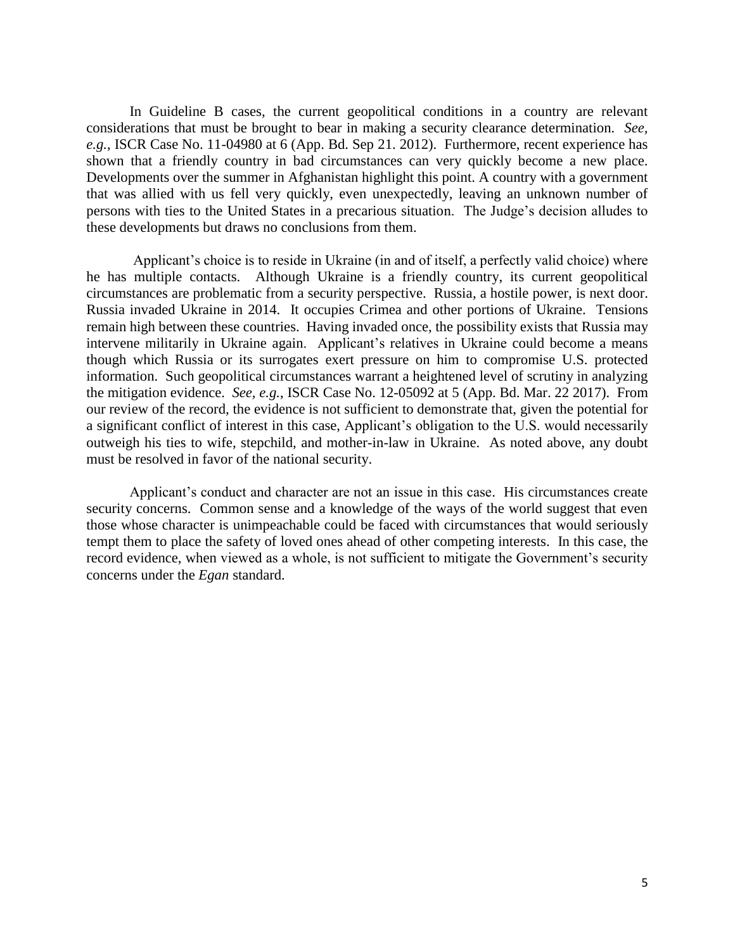In Guideline B cases, the current geopolitical conditions in a country are relevant considerations that must be brought to bear in making a security clearance determination. *See, e.g.*, ISCR Case No. 11-04980 at 6 (App. Bd. Sep 21. 2012). Furthermore, recent experience has shown that a friendly country in bad circumstances can very quickly become a new place. that was allied with us fell very quickly, even unexpectedly, leaving an unknown number of persons with ties to the United States in a precarious situation. The Judge's decision alludes to Developments over the summer in Afghanistan highlight this point. A country with a government these developments but draws no conclusions from them.

 Applicant's choice is to reside in Ukraine (in and of itself, a perfectly valid choice) where he has multiple contacts. Although Ukraine is a friendly country, its current geopolitical circumstances are problematic from a security perspective. Russia, a hostile power, is next door. Russia invaded Ukraine in 2014. It occupies Crimea and other portions of Ukraine. Tensions intervene militarily in Ukraine again. Applicant's relatives in Ukraine could become a means though which Russia or its surrogates exert pressure on him to compromise U.S. protected outweigh his ties to wife, stepchild, and mother-in-law in Ukraine. As noted above, any doubt remain high between these countries. Having invaded once, the possibility exists that Russia may information. Such geopolitical circumstances warrant a heightened level of scrutiny in analyzing the mitigation evidence. *See, e.g.*, ISCR Case No. 12-05092 at 5 (App. Bd. Mar. 22 2017). From our review of the record, the evidence is not sufficient to demonstrate that, given the potential for a significant conflict of interest in this case, Applicant's obligation to the U.S. would necessarily must be resolved in favor of the national security.

 Applicant's conduct and character are not an issue in this case. His circumstances create security concerns. Common sense and a knowledge of the ways of the world suggest that even those whose character is unimpeachable could be faced with circumstances that would seriously tempt them to place the safety of loved ones ahead of other competing interests. In this case, the record evidence, when viewed as a whole, is not sufficient to mitigate the Government's security concerns under the *Egan* standard.